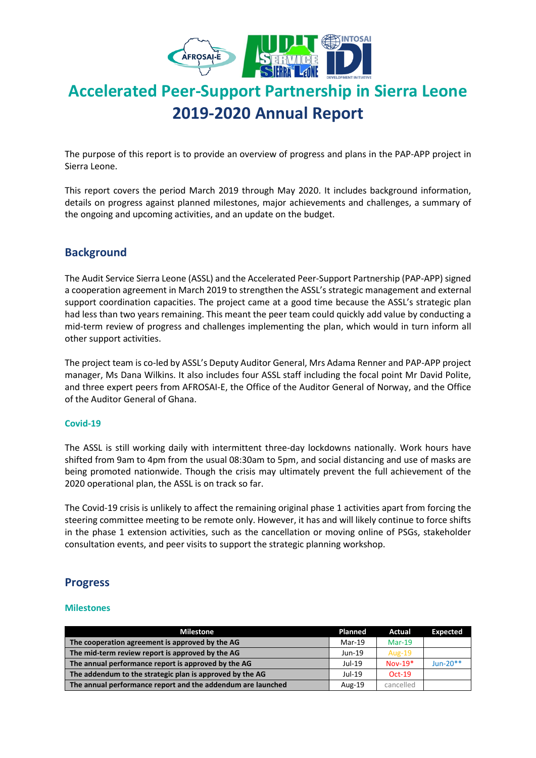

# **Accelerated Peer-Support Partnership in Sierra Leone 2019-2020 Annual Report**

The purpose of this report is to provide an overview of progress and plans in the PAP-APP project in Sierra Leone.

This report covers the period March 2019 through May 2020. It includes background information, details on progress against planned milestones, major achievements and challenges, a summary of the ongoing and upcoming activities, and an update on the budget.

# **Background**

The Audit Service Sierra Leone (ASSL) and the Accelerated Peer-Support Partnership (PAP-APP) signed a cooperation agreement in March 2019 to strengthen the ASSL's strategic management and external support coordination capacities. The project came at a good time because the ASSL's strategic plan had less than two years remaining. This meant the peer team could quickly add value by conducting a mid-term review of progress and challenges implementing the plan, which would in turn inform all other support activities.

The project team is co-led by ASSL's Deputy Auditor General, Mrs Adama Renner and PAP-APP project manager, Ms Dana Wilkins. It also includes four ASSL staff including the focal point Mr David Polite, and three expert peers from AFROSAI-E, the Office of the Auditor General of Norway, and the Office of the Auditor General of Ghana.

### **Covid-19**

The ASSL is still working daily with intermittent three-day lockdowns nationally. Work hours have shifted from 9am to 4pm from the usual 08:30am to 5pm, and social distancing and use of masks are being promoted nationwide. Though the crisis may ultimately prevent the full achievement of the 2020 operational plan, the ASSL is on track so far.

The Covid-19 crisis is unlikely to affect the remaining original phase 1 activities apart from forcing the steering committee meeting to be remote only. However, it has and will likely continue to force shifts in the phase 1 extension activities, such as the cancellation or moving online of PSGs, stakeholder consultation events, and peer visits to support the strategic planning workshop.

### **Progress**

### **Milestones**

| <b>Milestone</b>                                            | Planned  | Actual        | <b>Expected</b> |
|-------------------------------------------------------------|----------|---------------|-----------------|
| The cooperation agreement is approved by the AG             | $Mar-19$ | $Mar-19$      |                 |
| The mid-term review report is approved by the AG            | $Jun-19$ | <b>Aug-19</b> |                 |
| The annual performance report is approved by the AG         | $Jul-19$ | $Nov-19*$     | Jun-20**        |
| The addendum to the strategic plan is approved by the AG    | Jul-19   | $Oct-19$      |                 |
| The annual performance report and the addendum are launched | Aug-19   | cancelled     |                 |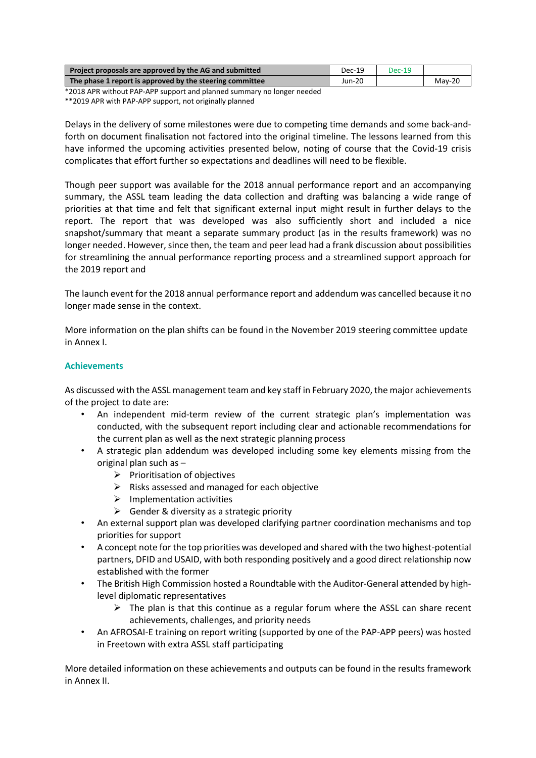| Project proposals are approved by the AG and submitted   | Dec-19 | Dec-19 |          |
|----------------------------------------------------------|--------|--------|----------|
| The phase 1 report is approved by the steering committee |        |        | $Mav-20$ |
|                                                          |        |        |          |

\*2018 APR without PAP-APP support and planned summary no longer needed

\*\*2019 APR with PAP-APP support, not originally planned

Delays in the delivery of some milestones were due to competing time demands and some back-andforth on document finalisation not factored into the original timeline. The lessons learned from this have informed the upcoming activities presented below, noting of course that the Covid-19 crisis complicates that effort further so expectations and deadlines will need to be flexible.

Though peer support was available for the 2018 annual performance report and an accompanying summary, the ASSL team leading the data collection and drafting was balancing a wide range of priorities at that time and felt that significant external input might result in further delays to the report. The report that was developed was also sufficiently short and included a nice snapshot/summary that meant a separate summary product (as in the results framework) was no longer needed. However, since then, the team and peer lead had a frank discussion about possibilities for streamlining the annual performance reporting process and a streamlined support approach for the 2019 report and

The launch event for the 2018 annual performance report and addendum was cancelled because it no longer made sense in the context.

More information on the plan shifts can be found in the November 2019 steering committee update in Annex I.

### **Achievements**

As discussed with the ASSL management team and key staff in February 2020, the major achievements of the project to date are:

- An independent mid-term review of the current strategic plan's implementation was conducted, with the subsequent report including clear and actionable recommendations for the current plan as well as the next strategic planning process
- A strategic plan addendum was developed including some key elements missing from the original plan such as –
	- $\triangleright$  Prioritisation of objectives
	- ➢ Risks assessed and managed for each objective
	- $\triangleright$  Implementation activities
	- $\triangleright$  Gender & diversity as a strategic priority
- An external support plan was developed clarifying partner coordination mechanisms and top priorities for support
- A concept note for the top priorities was developed and shared with the two highest-potential partners, DFID and USAID, with both responding positively and a good direct relationship now established with the former
- The British High Commission hosted a Roundtable with the Auditor-General attended by highlevel diplomatic representatives
	- $\triangleright$  The plan is that this continue as a regular forum where the ASSL can share recent achievements, challenges, and priority needs
- An AFROSAI-E training on report writing (supported by one of the PAP-APP peers) was hosted in Freetown with extra ASSL staff participating

More detailed information on these achievements and outputs can be found in the results framework in Annex II.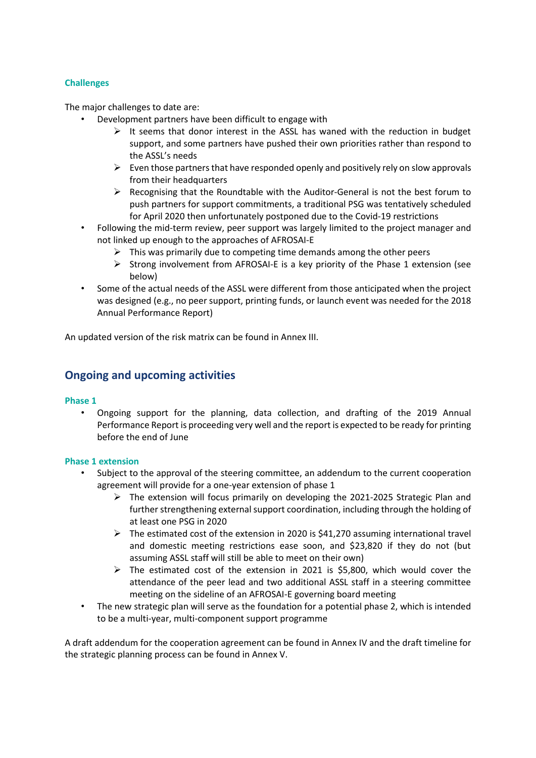### **Challenges**

The major challenges to date are:

- Development partners have been difficult to engage with
	- $\triangleright$  It seems that donor interest in the ASSL has waned with the reduction in budget support, and some partners have pushed their own priorities rather than respond to the ASSL's needs
	- $\triangleright$  Even those partners that have responded openly and positively rely on slow approvals from their headquarters
	- $\triangleright$  Recognising that the Roundtable with the Auditor-General is not the best forum to push partners for support commitments, a traditional PSG was tentatively scheduled for April 2020 then unfortunately postponed due to the Covid-19 restrictions
- Following the mid-term review, peer support was largely limited to the project manager and not linked up enough to the approaches of AFROSAI-E
	- $\triangleright$  This was primarily due to competing time demands among the other peers
	- $\triangleright$  Strong involvement from AFROSAI-E is a key priority of the Phase 1 extension (see below)
- Some of the actual needs of the ASSL were different from those anticipated when the project was designed (e.g., no peer support, printing funds, or launch event was needed for the 2018 Annual Performance Report)

An updated version of the risk matrix can be found in Annex III.

### **Ongoing and upcoming activities**

### **Phase 1**

• Ongoing support for the planning, data collection, and drafting of the 2019 Annual Performance Report is proceeding very well and the report is expected to be ready for printing before the end of June

### **Phase 1 extension**

- Subject to the approval of the steering committee, an addendum to the current cooperation agreement will provide for a one-year extension of phase 1
	- $\triangleright$  The extension will focus primarily on developing the 2021-2025 Strategic Plan and further strengthening external support coordination, including through the holding of at least one PSG in 2020
	- $\triangleright$  The estimated cost of the extension in 2020 is \$41,270 assuming international travel and domestic meeting restrictions ease soon, and \$23,820 if they do not (but assuming ASSL staff will still be able to meet on their own)
	- ➢ The estimated cost of the extension in 2021 is \$5,800, which would cover the attendance of the peer lead and two additional ASSL staff in a steering committee meeting on the sideline of an AFROSAI-E governing board meeting
- The new strategic plan will serve as the foundation for a potential phase 2, which is intended to be a multi-year, multi-component support programme

A draft addendum for the cooperation agreement can be found in Annex IV and the draft timeline for the strategic planning process can be found in Annex V.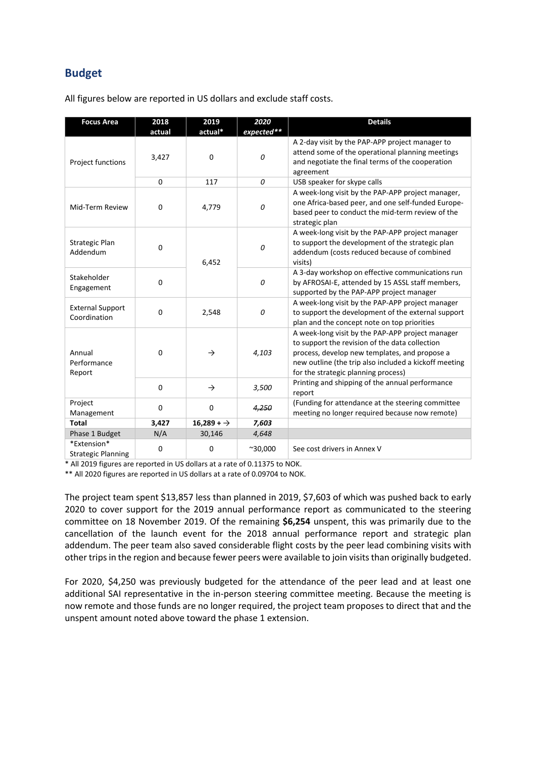# **Budget**

All figures below are reported in US dollars and exclude staff costs.

| <b>Focus Area</b>                        | 2018<br>actual | 2019<br>actual* | 2020<br>expected** | <b>Details</b>                                                                                                                                                                                                                                      |
|------------------------------------------|----------------|-----------------|--------------------|-----------------------------------------------------------------------------------------------------------------------------------------------------------------------------------------------------------------------------------------------------|
| Project functions                        | 3,427          | 0               | 0                  | A 2-day visit by the PAP-APP project manager to<br>attend some of the operational planning meetings<br>and negotiate the final terms of the cooperation<br>agreement                                                                                |
|                                          | 0              | 117             | 0                  | USB speaker for skype calls                                                                                                                                                                                                                         |
| Mid-Term Review                          | 0              | 4,779           | 0                  | A week-long visit by the PAP-APP project manager,<br>one Africa-based peer, and one self-funded Europe-<br>based peer to conduct the mid-term review of the<br>strategic plan                                                                       |
| Strategic Plan<br>Addendum               | 0              | 6,452           | 0                  | A week-long visit by the PAP-APP project manager<br>to support the development of the strategic plan<br>addendum (costs reduced because of combined<br>visits)                                                                                      |
| Stakeholder<br>Engagement                | 0              |                 | 0                  | A 3-day workshop on effective communications run<br>by AFROSAI-E, attended by 15 ASSL staff members,<br>supported by the PAP-APP project manager                                                                                                    |
| <b>External Support</b><br>Coordination  | 0              | 2,548           | 0                  | A week-long visit by the PAP-APP project manager<br>to support the development of the external support<br>plan and the concept note on top priorities                                                                                               |
| Annual<br>Performance<br>Report          | 0              | $\rightarrow$   | 4,103              | A week-long visit by the PAP-APP project manager<br>to support the revision of the data collection<br>process, develop new templates, and propose a<br>new outline (the trip also included a kickoff meeting<br>for the strategic planning process) |
|                                          | 0              | $\rightarrow$   | 3,500              | Printing and shipping of the annual performance<br>report                                                                                                                                                                                           |
| Project<br>Management                    | 0              | 0               | 4,250              | (Funding for attendance at the steering committee<br>meeting no longer required because now remote)                                                                                                                                                 |
| <b>Total</b>                             | 3,427          | $16,289 + 7$    | 7,603              |                                                                                                                                                                                                                                                     |
| Phase 1 Budget                           | N/A            | 30,146          | 4,648              |                                                                                                                                                                                                                                                     |
| *Extension*<br><b>Strategic Planning</b> | 0              | 0               | $^{\sim}30,000$    | See cost drivers in Annex V                                                                                                                                                                                                                         |

\* All 2019 figures are reported in US dollars at a rate of 0.11375 to NOK.

\*\* All 2020 figures are reported in US dollars at a rate of 0.09704 to NOK.

The project team spent \$13,857 less than planned in 2019, \$7,603 of which was pushed back to early 2020 to cover support for the 2019 annual performance report as communicated to the steering committee on 18 November 2019. Of the remaining **\$6,254** unspent, this was primarily due to the cancellation of the launch event for the 2018 annual performance report and strategic plan addendum. The peer team also saved considerable flight costs by the peer lead combining visits with other trips in the region and because fewer peers were available to join visits than originally budgeted.

For 2020, \$4,250 was previously budgeted for the attendance of the peer lead and at least one additional SAI representative in the in-person steering committee meeting. Because the meeting is now remote and those funds are no longer required, the project team proposes to direct that and the unspent amount noted above toward the phase 1 extension.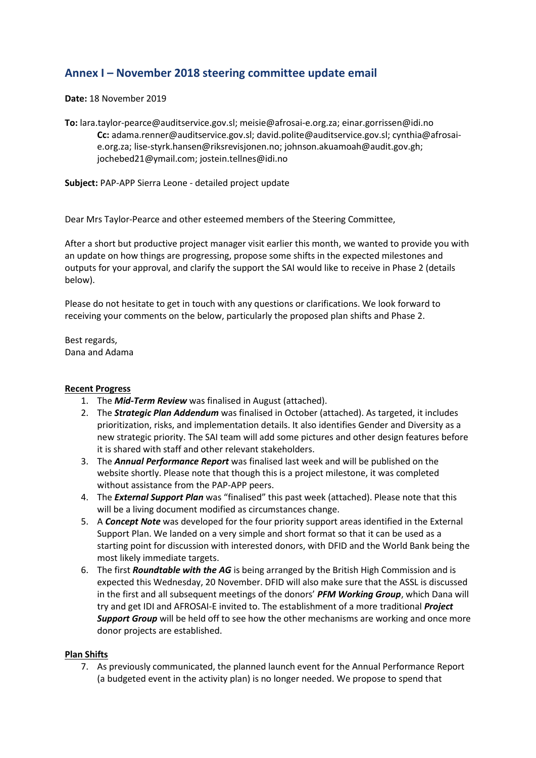# **Annex I – November 2018 steering committee update email**

**Date:** 18 November 2019

**To:** lara.taylor-pearce@auditservice.gov.sl; meisie@afrosai-e.org.za; einar.gorrissen@idi.no **Cc:** adama.renner@auditservice.gov.sl; david.polite@auditservice.gov.sl; cynthia@afrosaie.org.za; lise-styrk.hansen@riksrevisjonen.no; johnson.akuamoah@audit.gov.gh; jochebed21@ymail.com; jostein.tellnes@idi.no

**Subject:** PAP-APP Sierra Leone - detailed project update

Dear Mrs Taylor-Pearce and other esteemed members of the Steering Committee,

After a short but productive project manager visit earlier this month, we wanted to provide you with an update on how things are progressing, propose some shifts in the expected milestones and outputs for your approval, and clarify the support the SAI would like to receive in Phase 2 (details below).

Please do not hesitate to get in touch with any questions or clarifications. We look forward to receiving your comments on the below, particularly the proposed plan shifts and Phase 2.

Best regards, Dana and Adama

### **Recent Progress**

- 1. The *Mid-Term Review* was finalised in August (attached).
- 2. The *Strategic Plan Addendum* was finalised in October (attached). As targeted, it includes prioritization, risks, and implementation details. It also identifies Gender and Diversity as a new strategic priority. The SAI team will add some pictures and other design features before it is shared with staff and other relevant stakeholders.
- 3. The *Annual Performance Report* was finalised last week and will be published on the website shortly. Please note that though this is a project milestone, it was completed without assistance from the PAP-APP peers.
- 4. The *External Support Plan* was "finalised" this past week (attached). Please note that this will be a living document modified as circumstances change.
- 5. A *Concept Note* was developed for the four priority support areas identified in the External Support Plan. We landed on a very simple and short format so that it can be used as a starting point for discussion with interested donors, with DFID and the World Bank being the most likely immediate targets.
- 6. The first *Roundtable with the AG* is being arranged by the British High Commission and is expected this Wednesday, 20 November. DFID will also make sure that the ASSL is discussed in the first and all subsequent meetings of the donors' *PFM Working Group*, which Dana will try and get IDI and AFROSAI-E invited to. The establishment of a more traditional *Project Support Group* will be held off to see how the other mechanisms are working and once more donor projects are established.

### **Plan Shifts**

7. As previously communicated, the planned launch event for the Annual Performance Report (a budgeted event in the activity plan) is no longer needed. We propose to spend that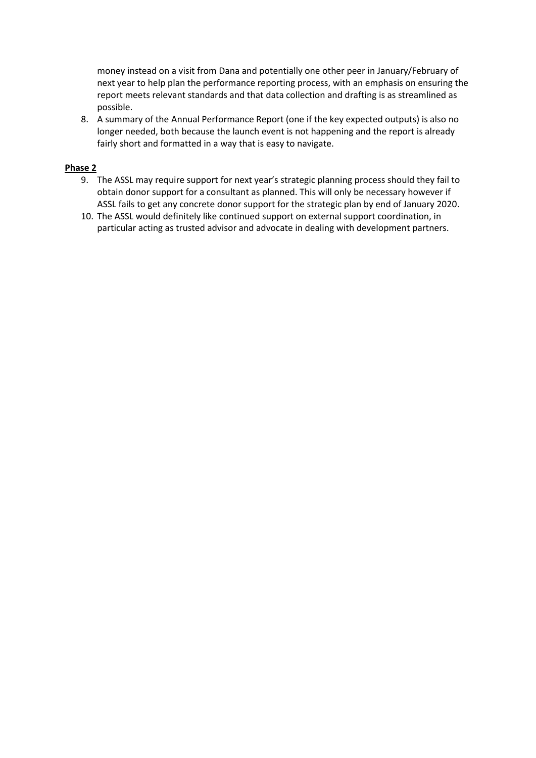money instead on a visit from Dana and potentially one other peer in January/February of next year to help plan the performance reporting process, with an emphasis on ensuring the report meets relevant standards and that data collection and drafting is as streamlined as possible.

8. A summary of the Annual Performance Report (one if the key expected outputs) is also no longer needed, both because the launch event is not happening and the report is already fairly short and formatted in a way that is easy to navigate.

### **Phase 2**

- 9. The ASSL may require support for next year's strategic planning process should they fail to obtain donor support for a consultant as planned. This will only be necessary however if ASSL fails to get any concrete donor support for the strategic plan by end of January 2020.
- 10. The ASSL would definitely like continued support on external support coordination, in particular acting as trusted advisor and advocate in dealing with development partners.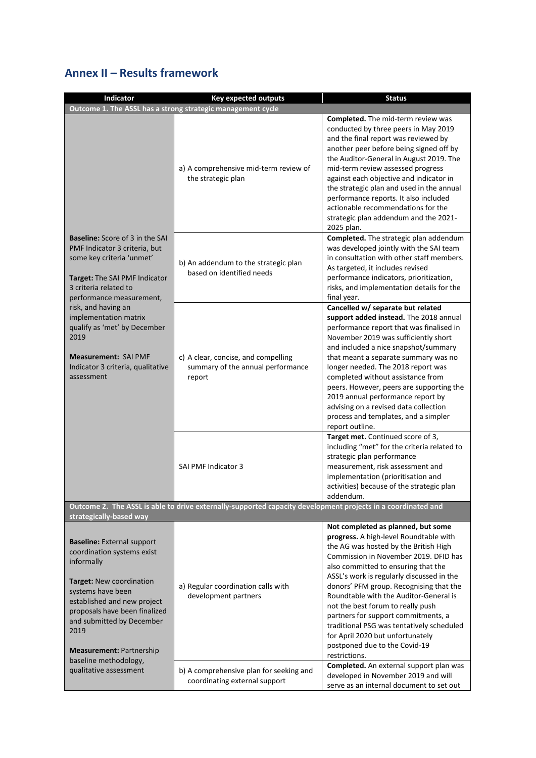# **Annex II – Results framework**

| Indicator                                                                                                                                                                                                                                                                                                                                                            | <b>Key expected outputs</b>                                                                                  | <b>Status</b>                                                                                                                                                                                                                                                                                                                                                                                                                                                                                                                                          |  |  |  |
|----------------------------------------------------------------------------------------------------------------------------------------------------------------------------------------------------------------------------------------------------------------------------------------------------------------------------------------------------------------------|--------------------------------------------------------------------------------------------------------------|--------------------------------------------------------------------------------------------------------------------------------------------------------------------------------------------------------------------------------------------------------------------------------------------------------------------------------------------------------------------------------------------------------------------------------------------------------------------------------------------------------------------------------------------------------|--|--|--|
| Outcome 1. The ASSL has a strong strategic management cycle                                                                                                                                                                                                                                                                                                          |                                                                                                              |                                                                                                                                                                                                                                                                                                                                                                                                                                                                                                                                                        |  |  |  |
| <b>Baseline:</b> Score of 3 in the SAI<br>PMF Indicator 3 criteria, but<br>some key criteria 'unmet'<br>Target: The SAI PMF Indicator<br>3 criteria related to<br>performance measurement,<br>risk, and having an<br>implementation matrix<br>qualify as 'met' by December<br>2019<br><b>Measurement: SAI PMF</b><br>Indicator 3 criteria, qualitative<br>assessment | a) A comprehensive mid-term review of<br>the strategic plan                                                  | Completed. The mid-term review was<br>conducted by three peers in May 2019<br>and the final report was reviewed by<br>another peer before being signed off by<br>the Auditor-General in August 2019. The<br>mid-term review assessed progress<br>against each objective and indicator in<br>the strategic plan and used in the annual<br>performance reports. It also included<br>actionable recommendations for the<br>strategic plan addendum and the 2021-<br>2025 plan.                                                                            |  |  |  |
|                                                                                                                                                                                                                                                                                                                                                                      | b) An addendum to the strategic plan<br>based on identified needs                                            | Completed. The strategic plan addendum<br>was developed jointly with the SAI team<br>in consultation with other staff members.<br>As targeted, it includes revised<br>performance indicators, prioritization,<br>risks, and implementation details for the<br>final year.                                                                                                                                                                                                                                                                              |  |  |  |
|                                                                                                                                                                                                                                                                                                                                                                      | c) A clear, concise, and compelling<br>summary of the annual performance<br>report                           | Cancelled w/ separate but related<br>support added instead. The 2018 annual<br>performance report that was finalised in<br>November 2019 was sufficiently short<br>and included a nice snapshot/summary<br>that meant a separate summary was no<br>longer needed. The 2018 report was<br>completed without assistance from<br>peers. However, peers are supporting the<br>2019 annual performance report by<br>advising on a revised data collection<br>process and templates, and a simpler<br>report outline.                                        |  |  |  |
|                                                                                                                                                                                                                                                                                                                                                                      | SAI PMF Indicator 3                                                                                          | Target met. Continued score of 3,<br>including "met" for the criteria related to<br>strategic plan performance<br>measurement, risk assessment and<br>implementation (prioritisation and<br>activities) because of the strategic plan<br>addendum.                                                                                                                                                                                                                                                                                                     |  |  |  |
| strategically-based way                                                                                                                                                                                                                                                                                                                                              | Outcome 2. The ASSL is able to drive externally-supported capacity development projects in a coordinated and |                                                                                                                                                                                                                                                                                                                                                                                                                                                                                                                                                        |  |  |  |
| <b>Baseline: External support</b><br>coordination systems exist<br>informally<br>Target: New coordination<br>systems have been<br>established and new project<br>proposals have been finalized<br>and submitted by December<br>2019<br><b>Measurement: Partnership</b><br>baseline methodology,                                                                      | a) Regular coordination calls with<br>development partners                                                   | Not completed as planned, but some<br>progress. A high-level Roundtable with<br>the AG was hosted by the British High<br>Commission in November 2019. DFID has<br>also committed to ensuring that the<br>ASSL's work is regularly discussed in the<br>donors' PFM group. Recognising that the<br>Roundtable with the Auditor-General is<br>not the best forum to really push<br>partners for support commitments, a<br>traditional PSG was tentatively scheduled<br>for April 2020 but unfortunately<br>postponed due to the Covid-19<br>restrictions. |  |  |  |
| qualitative assessment                                                                                                                                                                                                                                                                                                                                               | b) A comprehensive plan for seeking and<br>coordinating external support                                     | Completed. An external support plan was<br>developed in November 2019 and will<br>serve as an internal document to set out                                                                                                                                                                                                                                                                                                                                                                                                                             |  |  |  |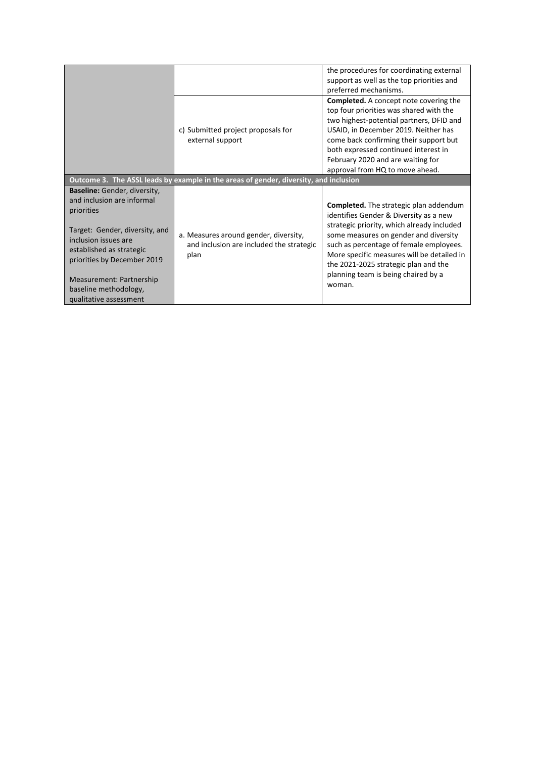|                                                                                                                                                                                                                                                           |                                                                                           | the procedures for coordinating external<br>support as well as the top priorities and<br>preferred mechanisms.                                                                                                                                                                                                                                                   |
|-----------------------------------------------------------------------------------------------------------------------------------------------------------------------------------------------------------------------------------------------------------|-------------------------------------------------------------------------------------------|------------------------------------------------------------------------------------------------------------------------------------------------------------------------------------------------------------------------------------------------------------------------------------------------------------------------------------------------------------------|
|                                                                                                                                                                                                                                                           | c) Submitted project proposals for<br>external support                                    | <b>Completed.</b> A concept note covering the<br>top four priorities was shared with the<br>two highest-potential partners, DFID and<br>USAID, in December 2019. Neither has<br>come back confirming their support but<br>both expressed continued interest in<br>February 2020 and are waiting for<br>approval from HQ to move ahead.                           |
|                                                                                                                                                                                                                                                           | Outcome 3. The ASSL leads by example in the areas of gender, diversity, and inclusion     |                                                                                                                                                                                                                                                                                                                                                                  |
| Baseline: Gender, diversity,<br>and inclusion are informal<br>priorities<br>Target: Gender, diversity, and<br>inclusion issues are<br>established as strategic<br>priorities by December 2019<br><b>Measurement: Partnership</b><br>baseline methodology, | a. Measures around gender, diversity,<br>and inclusion are included the strategic<br>plan | <b>Completed.</b> The strategic plan addendum<br>identifies Gender & Diversity as a new<br>strategic priority, which already included<br>some measures on gender and diversity<br>such as percentage of female employees.<br>More specific measures will be detailed in<br>the 2021-2025 strategic plan and the<br>planning team is being chaired by a<br>woman. |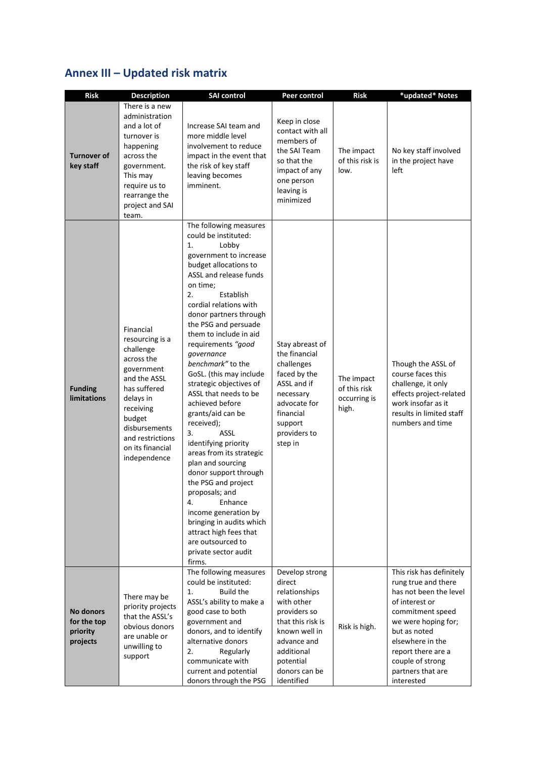# **Annex III – Updated risk matrix**

| <b>Risk</b>                                      | <b>Description</b>                                                                                                                                                                                                 | <b>SAI control</b>                                                                                                                                                                                                                                                                                                                                                                                                                                                                                                                                                                                                                                                                                                                                                                                  | Peer control                                                                                                                                                                           | <b>Risk</b>                                         | *updated* Notes                                                                                                                                                                                                                                         |
|--------------------------------------------------|--------------------------------------------------------------------------------------------------------------------------------------------------------------------------------------------------------------------|-----------------------------------------------------------------------------------------------------------------------------------------------------------------------------------------------------------------------------------------------------------------------------------------------------------------------------------------------------------------------------------------------------------------------------------------------------------------------------------------------------------------------------------------------------------------------------------------------------------------------------------------------------------------------------------------------------------------------------------------------------------------------------------------------------|----------------------------------------------------------------------------------------------------------------------------------------------------------------------------------------|-----------------------------------------------------|---------------------------------------------------------------------------------------------------------------------------------------------------------------------------------------------------------------------------------------------------------|
| <b>Turnover of</b><br>key staff                  | There is a new<br>administration<br>and a lot of<br>turnover is<br>happening<br>across the<br>government.<br>This may<br>require us to<br>rearrange the<br>project and SAI<br>team.                                | Increase SAI team and<br>more middle level<br>involvement to reduce<br>impact in the event that<br>the risk of key staff<br>leaving becomes<br>imminent.                                                                                                                                                                                                                                                                                                                                                                                                                                                                                                                                                                                                                                            | Keep in close<br>contact with all<br>members of<br>the SAI Team<br>so that the<br>impact of any<br>one person<br>leaving is<br>minimized                                               | The impact<br>of this risk is<br>low.               | No key staff involved<br>in the project have<br>left                                                                                                                                                                                                    |
| <b>Funding</b><br><b>limitations</b>             | Financial<br>resourcing is a<br>challenge<br>across the<br>government<br>and the ASSL<br>has suffered<br>delays in<br>receiving<br>budget<br>disbursements<br>and restrictions<br>on its financial<br>independence | The following measures<br>could be instituted:<br>1.<br>Lobby<br>government to increase<br>budget allocations to<br>ASSL and release funds<br>on time;<br>Establish<br>2.<br>cordial relations with<br>donor partners through<br>the PSG and persuade<br>them to include in aid<br>requirements "good<br>governance<br>benchmark" to the<br>GoSL. (this may include<br>strategic objectives of<br>ASSL that needs to be<br>achieved before<br>grants/aid can be<br>received);<br>3.<br><b>ASSL</b><br>identifying priority<br>areas from its strategic<br>plan and sourcing<br>donor support through<br>the PSG and project<br>proposals; and<br>4.<br>Enhance<br>income generation by<br>bringing in audits which<br>attract high fees that<br>are outsourced to<br>private sector audit<br>firms. | Stay abreast of<br>the financial<br>challenges<br>faced by the<br>ASSL and if<br>necessary<br>advocate for<br>financial<br>support<br>providers to<br>step in                          | The impact<br>of this risk<br>occurring is<br>high. | Though the ASSL of<br>course faces this<br>challenge, it only<br>effects project-related<br>work insofar as it<br>results in limited staff<br>numbers and time                                                                                          |
| No donors<br>for the top<br>priority<br>projects | There may be<br>priority projects<br>that the ASSL's<br>obvious donors<br>are unable or<br>unwilling to<br>support                                                                                                 | The following measures<br>could be instituted:<br><b>Build the</b><br>1.<br>ASSL's ability to make a<br>good case to both<br>government and<br>donors, and to identify<br>alternative donors<br>2.<br>Regularly<br>communicate with<br>current and potential<br>donors through the PSG                                                                                                                                                                                                                                                                                                                                                                                                                                                                                                              | Develop strong<br>direct<br>relationships<br>with other<br>providers so<br>that this risk is<br>known well in<br>advance and<br>additional<br>potential<br>donors can be<br>identified | Risk is high.                                       | This risk has definitely<br>rung true and there<br>has not been the level<br>of interest or<br>commitment speed<br>we were hoping for;<br>but as noted<br>elsewhere in the<br>report there are a<br>couple of strong<br>partners that are<br>interested |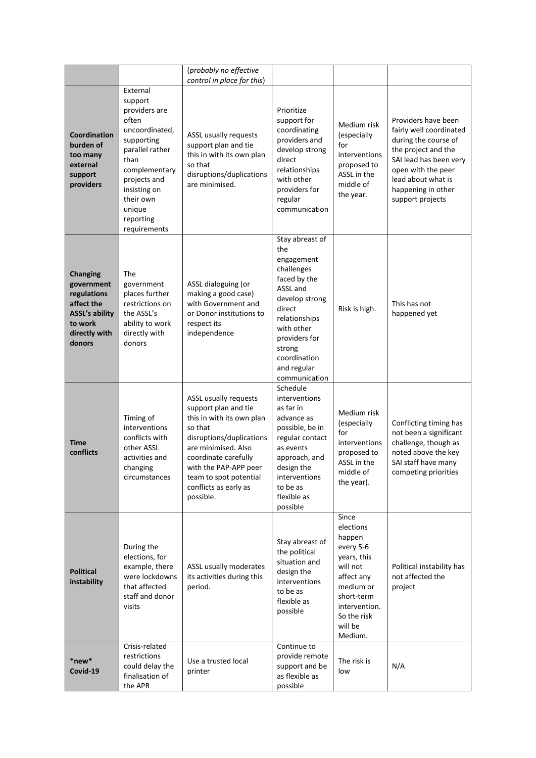|                                                                                                                           |                                                                                                                                                                                                               | (probably no effective<br>control in place for this)                                                                                                                                                                                                      |                                                                                                                                                                                                                      |                                                                                                                                                                     |                                                                                                                                                                                                               |
|---------------------------------------------------------------------------------------------------------------------------|---------------------------------------------------------------------------------------------------------------------------------------------------------------------------------------------------------------|-----------------------------------------------------------------------------------------------------------------------------------------------------------------------------------------------------------------------------------------------------------|----------------------------------------------------------------------------------------------------------------------------------------------------------------------------------------------------------------------|---------------------------------------------------------------------------------------------------------------------------------------------------------------------|---------------------------------------------------------------------------------------------------------------------------------------------------------------------------------------------------------------|
| Coordination<br>burden of<br>too many<br>external<br>support<br>providers                                                 | External<br>support<br>providers are<br>often<br>uncoordinated,<br>supporting<br>parallel rather<br>than<br>complementary<br>projects and<br>insisting on<br>their own<br>unique<br>reporting<br>requirements | ASSL usually requests<br>support plan and tie<br>this in with its own plan<br>so that<br>disruptions/duplications<br>are minimised.                                                                                                                       | Prioritize<br>support for<br>coordinating<br>providers and<br>develop strong<br>direct<br>relationships<br>with other<br>providers for<br>regular<br>communication                                                   | Medium risk<br>(especially<br>for<br>interventions<br>proposed to<br>ASSL in the<br>middle of<br>the year.                                                          | Providers have been<br>fairly well coordinated<br>during the course of<br>the project and the<br>SAI lead has been very<br>open with the peer<br>lead about what is<br>happening in other<br>support projects |
| <b>Changing</b><br>government<br>regulations<br>affect the<br><b>ASSL's ability</b><br>to work<br>directly with<br>donors | The<br>government<br>places further<br>restrictions on<br>the ASSL's<br>ability to work<br>directly with<br>donors                                                                                            | ASSL dialoguing (or<br>making a good case)<br>with Government and<br>or Donor institutions to<br>respect its<br>independence                                                                                                                              | Stay abreast of<br>the<br>engagement<br>challenges<br>faced by the<br>ASSL and<br>develop strong<br>direct<br>relationships<br>with other<br>providers for<br>strong<br>coordination<br>and regular<br>communication | Risk is high.                                                                                                                                                       | This has not<br>happened yet                                                                                                                                                                                  |
| Time<br>conflicts                                                                                                         | Timing of<br>interventions<br>conflicts with<br>other ASSL<br>activities and<br>changing<br>circumstances                                                                                                     | ASSL usually requests<br>support plan and tie<br>this in with its own plan<br>so that<br>disruptions/duplications<br>are minimised. Also<br>coordinate carefully<br>with the PAP-APP peer<br>team to spot potential<br>conflicts as early as<br>possible. | Schedule<br>interventions<br>as far in<br>advance as<br>possible, be in<br>regular contact<br>as events<br>approach, and<br>design the<br>interventions<br>to be as<br>flexible as<br>possible                       | Medium risk<br>(especially<br>for<br>interventions<br>proposed to<br>ASSL in the<br>middle of<br>the year).                                                         | Conflicting timing has<br>not been a significant<br>challenge, though as<br>noted above the key<br>SAI staff have many<br>competing priorities                                                                |
| <b>Political</b><br>instability                                                                                           | During the<br>elections, for<br>example, there<br>were lockdowns<br>that affected<br>staff and donor<br>visits                                                                                                | ASSL usually moderates<br>its activities during this<br>period.                                                                                                                                                                                           | Stay abreast of<br>the political<br>situation and<br>design the<br>interventions<br>to be as<br>flexible as<br>possible                                                                                              | Since<br>elections<br>happen<br>every 5-6<br>years, this<br>will not<br>affect any<br>medium or<br>short-term<br>intervention.<br>So the risk<br>will be<br>Medium. | Political instability has<br>not affected the<br>project                                                                                                                                                      |
| *new*<br>Covid-19                                                                                                         | Crisis-related<br>restrictions<br>could delay the<br>finalisation of<br>the APR                                                                                                                               | Use a trusted local<br>printer                                                                                                                                                                                                                            | Continue to<br>provide remote<br>support and be<br>as flexible as<br>possible                                                                                                                                        | The risk is<br>low                                                                                                                                                  | N/A                                                                                                                                                                                                           |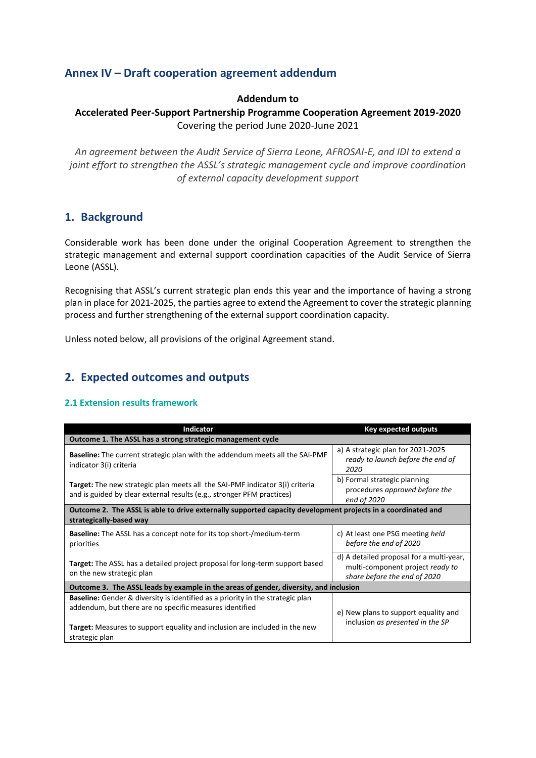# **Annex IV – Draft cooperation agreement addendum**

### **Addendum to**

### **Accelerated Peer-Support Partnership Programme Cooperation Agreement 2019-2020** Covering the period June 2020-June 2021

*An agreement between the Audit Service of Sierra Leone, AFROSAI-E, and IDI to extend a joint effort to strengthen the ASSL's strategic management cycle and improve coordination of external capacity development support*

# **1. Background**

Considerable work has been done under the original Cooperation Agreement to strengthen the strategic management and external support coordination capacities of the Audit Service of Sierra Leone (ASSL).

Recognising that ASSL's current strategic plan ends this year and the importance of having a strong plan in place for 2021-2025, the parties agree to extend the Agreement to cover the strategic planning process and further strengthening of the external support coordination capacity.

Unless noted below, all provisions of the original Agreement stand.

# **2. Expected outcomes and outputs**

### **2.1 Extension results framework**

| <b>Indicator</b>                                                                                                                                              | <b>Key expected outputs</b>                                                                                  |  |  |  |  |
|---------------------------------------------------------------------------------------------------------------------------------------------------------------|--------------------------------------------------------------------------------------------------------------|--|--|--|--|
| Outcome 1. The ASSL has a strong strategic management cycle                                                                                                   |                                                                                                              |  |  |  |  |
| <b>Baseline:</b> The current strategic plan with the addendum meets all the SAI-PMF<br>indicator 3(i) criteria                                                | a) A strategic plan for 2021-2025<br>ready to launch before the end of<br>2020                               |  |  |  |  |
| <b>Target:</b> The new strategic plan meets all the SAI-PMF indicator 3(i) criteria<br>and is guided by clear external results (e.g., stronger PFM practices) | b) Formal strategic planning<br>procedures approved before the<br>end of 2020                                |  |  |  |  |
| strategically-based way                                                                                                                                       | Outcome 2. The ASSL is able to drive externally supported capacity development projects in a coordinated and |  |  |  |  |
| <b>Baseline:</b> The ASSL has a concept note for its top short-/medium-term<br>priorities                                                                     | c) At least one PSG meeting held<br>before the end of 2020                                                   |  |  |  |  |
| <b>Target:</b> The ASSL has a detailed project proposal for long-term support based<br>on the new strategic plan                                              | d) A detailed proposal for a multi-year,<br>multi-component project ready to<br>share before the end of 2020 |  |  |  |  |
| Outcome 3. The ASSL leads by example in the areas of gender, diversity, and inclusion                                                                         |                                                                                                              |  |  |  |  |
| <b>Baseline:</b> Gender & diversity is identified as a priority in the strategic plan<br>addendum, but there are no specific measures identified              | e) New plans to support equality and                                                                         |  |  |  |  |
| <b>Target:</b> Measures to support equality and inclusion are included in the new<br>strategic plan                                                           | inclusion as presented in the SP                                                                             |  |  |  |  |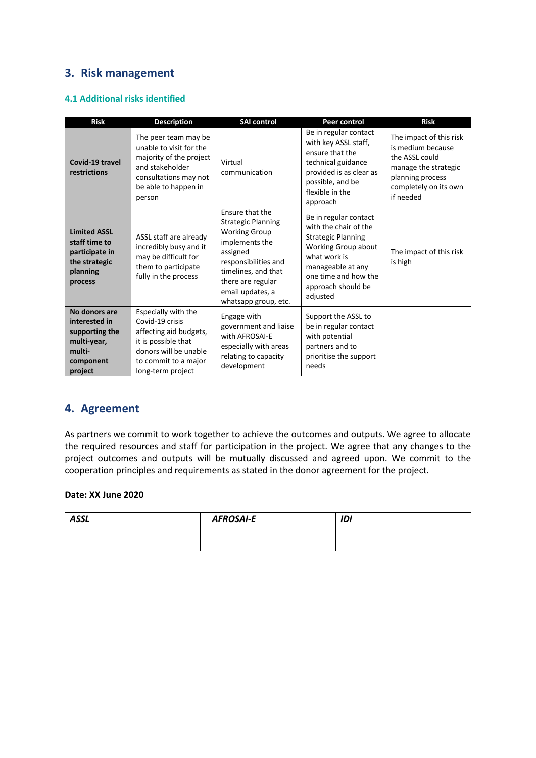# **3. Risk management**

### **4.1 Additional risks identified**

| <b>Risk</b>                                                                                       | <b>Description</b>                                                                                                                                            | <b>SAI control</b>                                                                                                                                                                                                 | <b>Peer control</b>                                                                                                                                                                               | <b>Risk</b>                                                                                                                                      |
|---------------------------------------------------------------------------------------------------|---------------------------------------------------------------------------------------------------------------------------------------------------------------|--------------------------------------------------------------------------------------------------------------------------------------------------------------------------------------------------------------------|---------------------------------------------------------------------------------------------------------------------------------------------------------------------------------------------------|--------------------------------------------------------------------------------------------------------------------------------------------------|
| Covid-19 travel<br>restrictions                                                                   | The peer team may be<br>unable to visit for the<br>majority of the project<br>and stakeholder<br>consultations may not<br>be able to happen in<br>person      | Virtual<br>communication                                                                                                                                                                                           | Be in regular contact<br>with key ASSL staff,<br>ensure that the<br>technical guidance<br>provided is as clear as<br>possible, and be<br>flexible in the<br>approach                              | The impact of this risk<br>is medium because<br>the ASSL could<br>manage the strategic<br>planning process<br>completely on its own<br>if needed |
| <b>Limited ASSL</b><br>staff time to<br>participate in<br>the strategic<br>planning<br>process    | ASSL staff are already<br>incredibly busy and it<br>may be difficult for<br>them to participate<br>fully in the process                                       | Ensure that the<br><b>Strategic Planning</b><br><b>Working Group</b><br>implements the<br>assigned<br>responsibilities and<br>timelines, and that<br>there are regular<br>email updates, a<br>whatsapp group, etc. | Be in regular contact<br>with the chair of the<br><b>Strategic Planning</b><br>Working Group about<br>what work is<br>manageable at any<br>one time and how the<br>approach should be<br>adjusted | The impact of this risk<br>is high                                                                                                               |
| No donors are<br>interested in<br>supporting the<br>multi-year,<br>multi-<br>component<br>project | Especially with the<br>Covid-19 crisis<br>affecting aid budgets,<br>it is possible that<br>donors will be unable<br>to commit to a major<br>long-term project | Engage with<br>government and liaise<br>with AFROSAI-E<br>especially with areas<br>relating to capacity<br>development                                                                                             | Support the ASSL to<br>be in regular contact<br>with potential<br>partners and to<br>prioritise the support<br>needs                                                                              |                                                                                                                                                  |

# **4. Agreement**

As partners we commit to work together to achieve the outcomes and outputs. We agree to allocate the required resources and staff for participation in the project. We agree that any changes to the project outcomes and outputs will be mutually discussed and agreed upon. We commit to the cooperation principles and requirements as stated in the donor agreement for the project.

### **Date: XX June 2020**

| <b>ASSL</b> | <b>AFROSAI-E</b> | IDI |
|-------------|------------------|-----|
|             |                  |     |